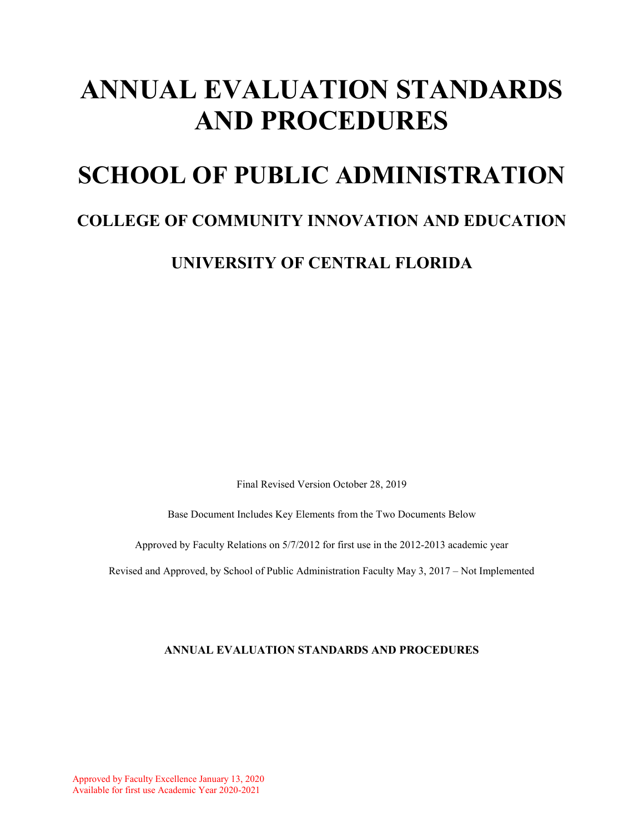# **ANNUAL EVALUATION STANDARDS AND PROCEDURES**

## **SCHOOL OF PUBLIC ADMINISTRATION**

## **COLLEGE OF COMMUNITY INNOVATION AND EDUCATION**

**UNIVERSITY OF CENTRAL FLORIDA** 

Final Revised Version October 28, 2019

Base Document Includes Key Elements from the Two Documents Below

Approved by Faculty Relations on 5/7/2012 for first use in the 2012-2013 academic year

Revised and Approved, by School of Public Administration Faculty May 3, 2017 – Not Implemented

#### **ANNUAL EVALUATION STANDARDS AND PROCEDURES**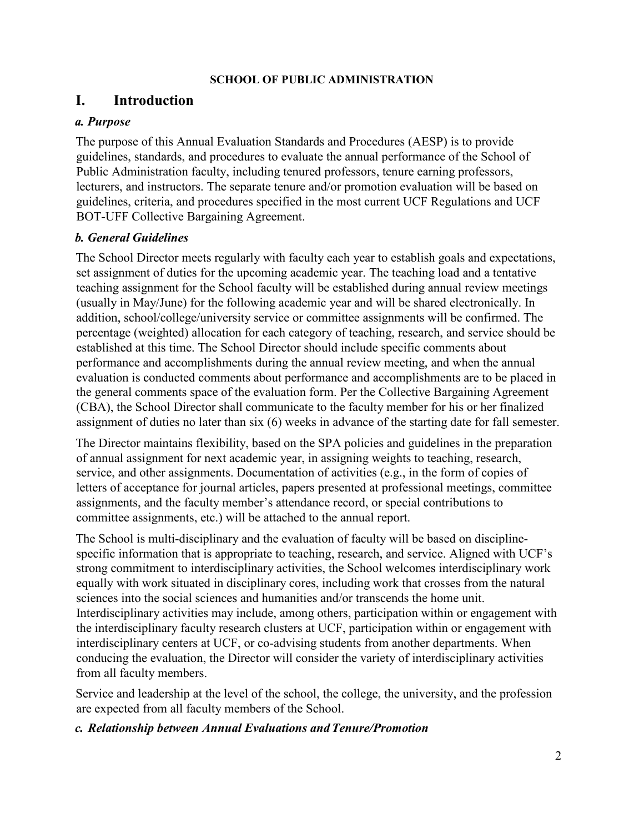#### **SCHOOL OF PUBLIC ADMINISTRATION**

### **I. Introduction**

### *a. Purpose*

The purpose of this Annual Evaluation Standards and Procedures (AESP) is to provide guidelines, standards, and procedures to evaluate the annual performance of the School of Public Administration faculty, including tenured professors, tenure earning professors, lecturers, and instructors. The separate tenure and/or promotion evaluation will be based on guidelines, criteria, and procedures specified in the most current UCF Regulations and UCF BOT-UFF Collective Bargaining Agreement.

### *b. General Guidelines*

The School Director meets regularly with faculty each year to establish goals and expectations, set assignment of duties for the upcoming academic year. The teaching load and a tentative teaching assignment for the School faculty will be established during annual review meetings (usually in May/June) for the following academic year and will be shared electronically. In addition, school/college/university service or committee assignments will be confirmed. The percentage (weighted) allocation for each category of teaching, research, and service should be established at this time. The School Director should include specific comments about performance and accomplishments during the annual review meeting, and when the annual evaluation is conducted comments about performance and accomplishments are to be placed in the general comments space of the evaluation form. Per the Collective Bargaining Agreement (CBA), the School Director shall communicate to the faculty member for his or her finalized assignment of duties no later than six (6) weeks in advance of the starting date for fall semester.

The Director maintains flexibility, based on the SPA policies and guidelines in the preparation of annual assignment for next academic year, in assigning weights to teaching, research, service, and other assignments. Documentation of activities (e.g., in the form of copies of letters of acceptance for journal articles, papers presented at professional meetings, committee assignments, and the faculty member's attendance record, or special contributions to committee assignments, etc.) will be attached to the annual report.

The School is multi-disciplinary and the evaluation of faculty will be based on disciplinespecific information that is appropriate to teaching, research, and service. Aligned with UCF's strong commitment to interdisciplinary activities, the School welcomes interdisciplinary work equally with work situated in disciplinary cores, including work that crosses from the natural sciences into the social sciences and humanities and/or transcends the home unit. Interdisciplinary activities may include, among others, participation within or engagement with the interdisciplinary faculty research clusters at UCF, participation within or engagement with interdisciplinary centers at UCF, or co-advising students from another departments. When conducing the evaluation, the Director will consider the variety of interdisciplinary activities from all faculty members.

Service and leadership at the level of the school, the college, the university, and the profession are expected from all faculty members of the School.

### *c. Relationship between Annual Evaluations andTenure/Promotion*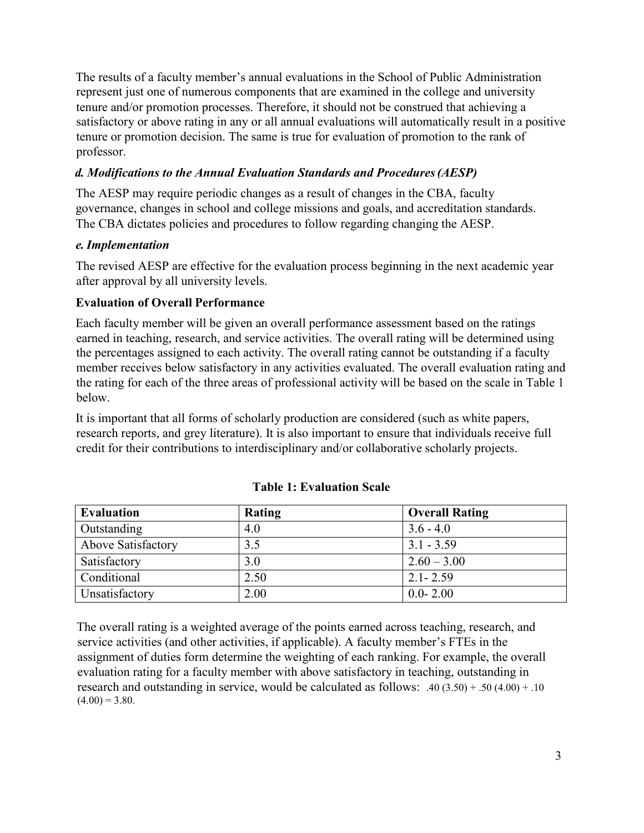The results of a faculty member's annual evaluations in the School of Public Administration represent just one of numerous components that are examined in the college and university tenure and/or promotion processes. Therefore, it should not be construed that achieving a satisfactory or above rating in any or all annual evaluations will automatically result in a positive tenure or promotion decision. The same is true for evaluation of promotion to the rank of professor.

### *d. Modifications to the Annual Evaluation Standards and Procedures(AESP)*

The AESP may require periodic changes as a result of changes in the CBA, faculty governance, changes in school and college missions and goals, and accreditation standards. The CBA dictates policies and procedures to follow regarding changing the AESP.

### *e.Implementation*

The revised AESP are effective for the evaluation process beginning in the next academic year after approval by all university levels.

### **Evaluation of Overall Performance**

Each faculty member will be given an overall performance assessment based on the ratings earned in teaching, research, and service activities. The overall rating will be determined using the percentages assigned to each activity. The overall rating cannot be outstanding if a faculty member receives below satisfactory in any activities evaluated. The overall evaluation rating and the rating for each of the three areas of professional activity will be based on the scale in Table 1 below.

It is important that all forms of scholarly production are considered (such as white papers, research reports, and grey literature). It is also important to ensure that individuals receive full credit for their contributions to interdisciplinary and/or collaborative scholarly projects.

| <b>Evaluation</b>  | Rating | <b>Overall Rating</b> |
|--------------------|--------|-----------------------|
| Outstanding        | 4.0    | $3.6 - 4.0$           |
| Above Satisfactory | 3.5    | $3.1 - 3.59$          |
| Satisfactory       | 3.0    | $2.60 - 3.00$         |
| Conditional        | 2.50   | $2.1 - 2.59$          |
| Unsatisfactory     | 2.00   | $0.0 - 2.00$          |

### **Table 1: Evaluation Scale**

The overall rating is a weighted average of the points earned across teaching, research, and service activities (and other activities, if applicable). A faculty member's FTEs in the assignment of duties form determine the weighting of each ranking. For example, the overall evaluation rating for a faculty member with above satisfactory in teaching, outstanding in research and outstanding in service, would be calculated as follows: .40 (3.50) + .50 (4.00) + .10  $(4.00) = 3.80.$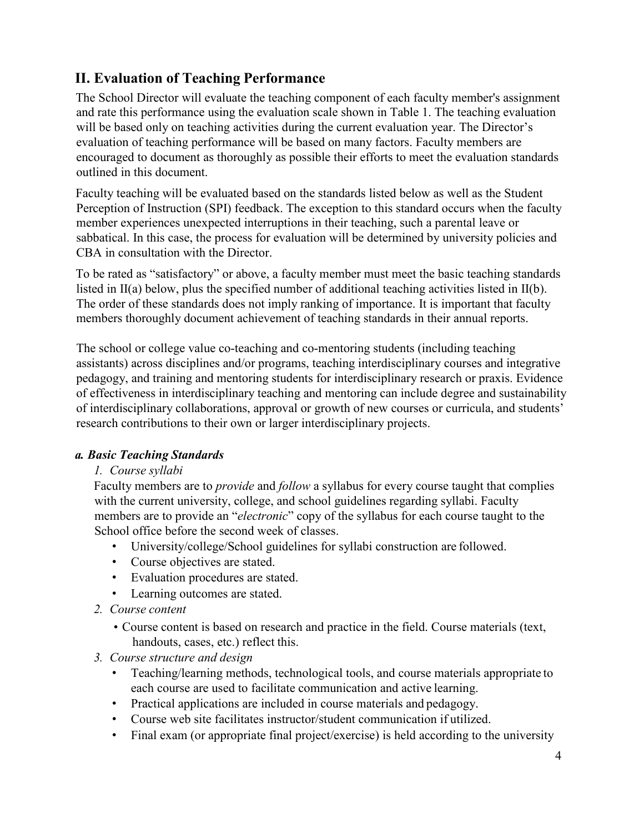### **II. Evaluation of Teaching Performance**

The School Director will evaluate the teaching component of each faculty member's assignment and rate this performance using the evaluation scale shown in Table 1. The teaching evaluation will be based only on teaching activities during the current evaluation year. The Director's evaluation of teaching performance will be based on many factors. Faculty members are encouraged to document as thoroughly as possible their efforts to meet the evaluation standards outlined in this document.

Faculty teaching will be evaluated based on the standards listed below as well as the Student Perception of Instruction (SPI) feedback. The exception to this standard occurs when the faculty member experiences unexpected interruptions in their teaching, such a parental leave or sabbatical. In this case, the process for evaluation will be determined by university policies and CBA in consultation with the Director.

To be rated as "satisfactory" or above, a faculty member must meet the basic teaching standards listed in II(a) below, plus the specified number of additional teaching activities listed in II(b). The order of these standards does not imply ranking of importance. It is important that faculty members thoroughly document achievement of teaching standards in their annual reports.

The school or college value co-teaching and co-mentoring students (including teaching assistants) across disciplines and/or programs, teaching interdisciplinary courses and integrative pedagogy, and training and mentoring students for interdisciplinary research or praxis. Evidence of effectiveness in interdisciplinary teaching and mentoring can include degree and sustainability of interdisciplinary collaborations, approval or growth of new courses or curricula, and students' research contributions to their own or larger interdisciplinary projects.

### *a. Basic Teaching Standards*

### *1. Course syllabi*

Faculty members are to *provide* and *follow* a syllabus for every course taught that complies with the current university, college, and school guidelines regarding syllabi. Faculty members are to provide an "*electronic*" copy of the syllabus for each course taught to the School office before the second week of classes.

- University/college/School guidelines for syllabi construction are followed.
- Course objectives are stated.
- Evaluation procedures are stated.
- Learning outcomes are stated.
- *2. Course content*
	- Course content is based on research and practice in the field. Course materials (text, handouts, cases, etc.) reflect this.
- *3. Course structure and design*
	- Teaching/learning methods, technological tools, and course materials appropriate to each course are used to facilitate communication and active learning.
	- Practical applications are included in course materials and pedagogy.
	- Course web site facilitates instructor/student communication if utilized.
	- Final exam (or appropriate final project/exercise) is held according to the university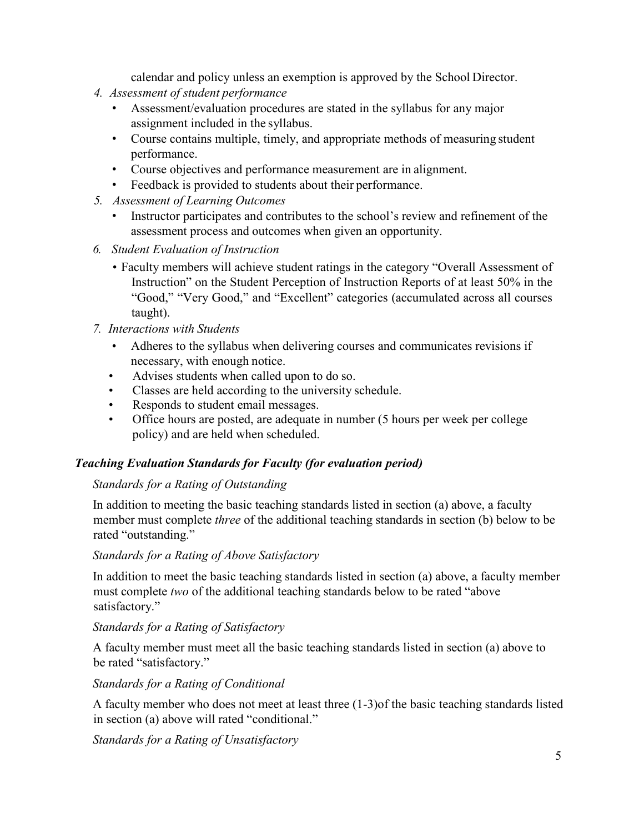calendar and policy unless an exemption is approved by the School Director.

- *4. Assessment of student performance*
	- Assessment/evaluation procedures are stated in the syllabus for any major assignment included in the syllabus.
	- Course contains multiple, timely, and appropriate methods of measuring student performance.
	- Course objectives and performance measurement are in alignment.
	- Feedback is provided to students about their performance.
- *5. Assessment of Learning Outcomes*
	- Instructor participates and contributes to the school's review and refinement of the assessment process and outcomes when given an opportunity.
- *6. Student Evaluation of Instruction*
	- Faculty members will achieve student ratings in the category "Overall Assessment of Instruction" on the Student Perception of Instruction Reports of at least 50% in the "Good," "Very Good," and "Excellent" categories (accumulated across all courses taught).
- *7. Interactions with Students*
	- Adheres to the syllabus when delivering courses and communicates revisions if necessary, with enough notice.
	- Advises students when called upon to do so.
	- Classes are held according to the university schedule.
	- Responds to student email messages.
	- Office hours are posted, are adequate in number (5 hours per week per college policy) and are held when scheduled.

### *Teaching Evaluation Standards for Faculty (for evaluation period)*

### *Standards for a Rating of Outstanding*

In addition to meeting the basic teaching standards listed in section (a) above, a faculty member must complete *three* of the additional teaching standards in section (b) below to be rated "outstanding."

#### *Standards for a Rating of Above Satisfactory*

In addition to meet the basic teaching standards listed in section (a) above, a faculty member must complete *two* of the additional teaching standards below to be rated "above satisfactory."

### *Standards for a Rating of Satisfactory*

A faculty member must meet all the basic teaching standards listed in section (a) above to be rated "satisfactory."

*Standards for a Rating of Conditional*

A faculty member who does not meet at least three (1-3)of the basic teaching standards listed in section (a) above will rated "conditional."

*Standards for a Rating of Unsatisfactory*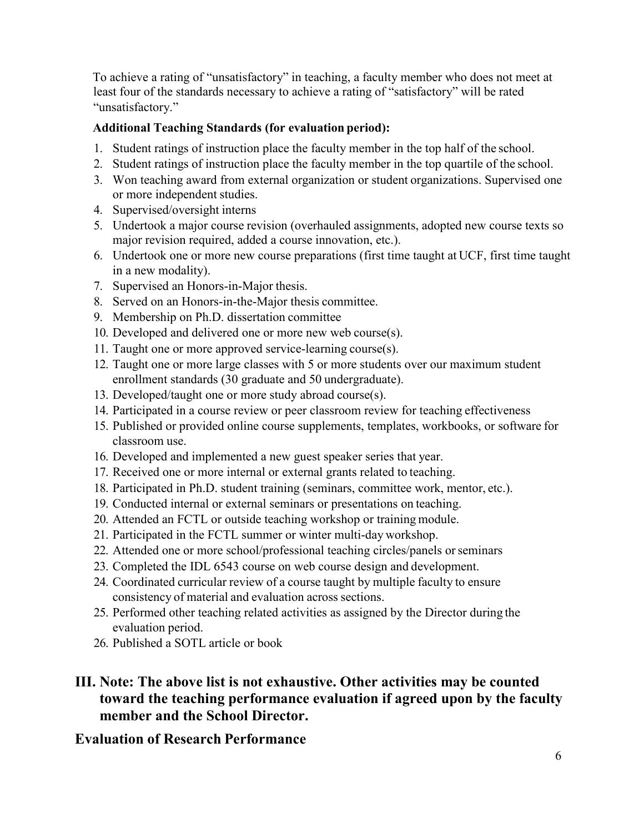To achieve a rating of "unsatisfactory" in teaching, a faculty member who does not meet at least four of the standards necessary to achieve a rating of "satisfactory" will be rated "unsatisfactory."

### **Additional Teaching Standards (for evaluation period):**

- 1. Student ratings of instruction place the faculty member in the top half of the school.
- 2. Student ratings of instruction place the faculty member in the top quartile of the school.
- 3. Won teaching award from external organization or student organizations. Supervised one or more independent studies.
- 4. Supervised/oversight interns
- 5. Undertook a major course revision (overhauled assignments, adopted new course texts so major revision required, added a course innovation, etc.).
- 6. Undertook one or more new course preparations (first time taught at UCF, first time taught in a new modality).
- 7. Supervised an Honors-in-Major thesis.
- 8. Served on an Honors-in-the-Major thesis committee.
- 9. Membership on Ph.D. dissertation committee
- 10. Developed and delivered one or more new web course(s).
- 11. Taught one or more approved service-learning course(s).
- 12. Taught one or more large classes with 5 or more students over our maximum student enrollment standards (30 graduate and 50 undergraduate).
- 13. Developed/taught one or more study abroad course(s).
- 14. Participated in a course review or peer classroom review for teaching effectiveness
- 15. Published or provided online course supplements, templates, workbooks, or software for classroom use.
- 16. Developed and implemented a new guest speaker series that year.
- 17. Received one or more internal or external grants related to teaching.
- 18. Participated in Ph.D. student training (seminars, committee work, mentor, etc.).
- 19. Conducted internal or external seminars or presentations on teaching.
- 20. Attended an FCTL or outside teaching workshop or training module.
- 21. Participated in the FCTL summer or winter multi-day workshop.
- 22. Attended one or more school/professional teaching circles/panels orseminars
- 23. Completed the IDL 6543 course on web course design and development.
- 24. Coordinated curricular review of a course taught by multiple faculty to ensure consistency of material and evaluation across sections.
- 25. Performed other teaching related activities as assigned by the Director during the evaluation period.
- 26. Published a SOTL article or book

### **III. Note: The above list is not exhaustive. Other activities may be counted toward the teaching performance evaluation if agreed upon by the faculty member and the School Director.**

### **Evaluation of Research Performance**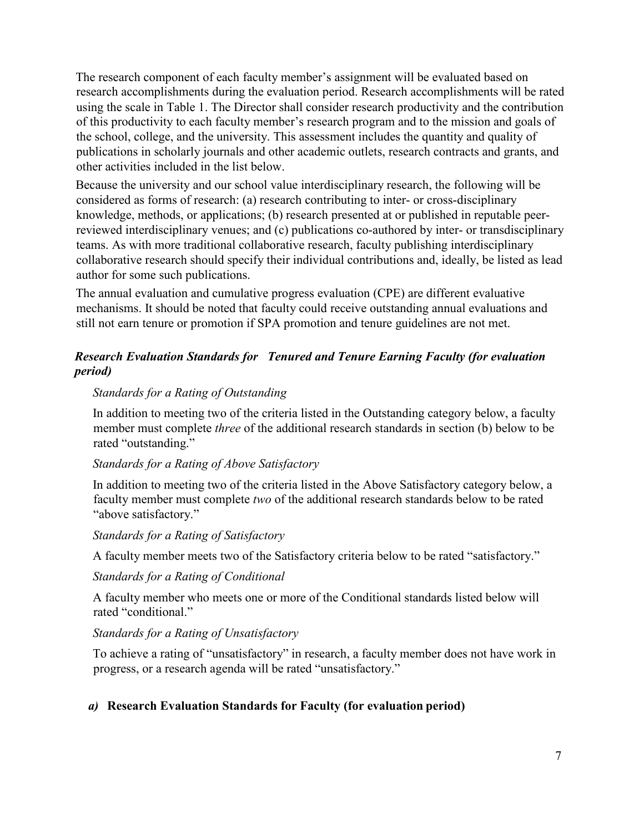The research component of each faculty member's assignment will be evaluated based on research accomplishments during the evaluation period. Research accomplishments will be rated using the scale in Table 1. The Director shall consider research productivity and the contribution of this productivity to each faculty member's research program and to the mission and goals of the school, college, and the university. This assessment includes the quantity and quality of publications in scholarly journals and other academic outlets, research contracts and grants, and other activities included in the list below.

Because the university and our school value interdisciplinary research, the following will be considered as forms of research: (a) research contributing to inter- or cross-disciplinary knowledge, methods, or applications; (b) research presented at or published in reputable peerreviewed interdisciplinary venues; and (c) publications co-authored by inter- or transdisciplinary teams. As with more traditional collaborative research, faculty publishing interdisciplinary collaborative research should specify their individual contributions and, ideally, be listed as lead author for some such publications.

The annual evaluation and cumulative progress evaluation (CPE) are different evaluative mechanisms. It should be noted that faculty could receive outstanding annual evaluations and still not earn tenure or promotion if SPA promotion and tenure guidelines are not met.

### *Research Evaluation Standards for Tenured and Tenure Earning Faculty (for evaluation period)*

### *Standards for a Rating of Outstanding*

In addition to meeting two of the criteria listed in the Outstanding category below, a faculty member must complete *three* of the additional research standards in section (b) below to be rated "outstanding."

### *Standards for a Rating of Above Satisfactory*

In addition to meeting two of the criteria listed in the Above Satisfactory category below, a faculty member must complete *two* of the additional research standards below to be rated "above satisfactory."

### *Standards for a Rating of Satisfactory*

A faculty member meets two of the Satisfactory criteria below to be rated "satisfactory."

### *Standards for a Rating of Conditional*

A faculty member who meets one or more of the Conditional standards listed below will rated "conditional."

### *Standards for a Rating of Unsatisfactory*

To achieve a rating of "unsatisfactory" in research, a faculty member does not have work in progress, or a research agenda will be rated "unsatisfactory."

### *a)* **Research Evaluation Standards for Faculty (for evaluation period)**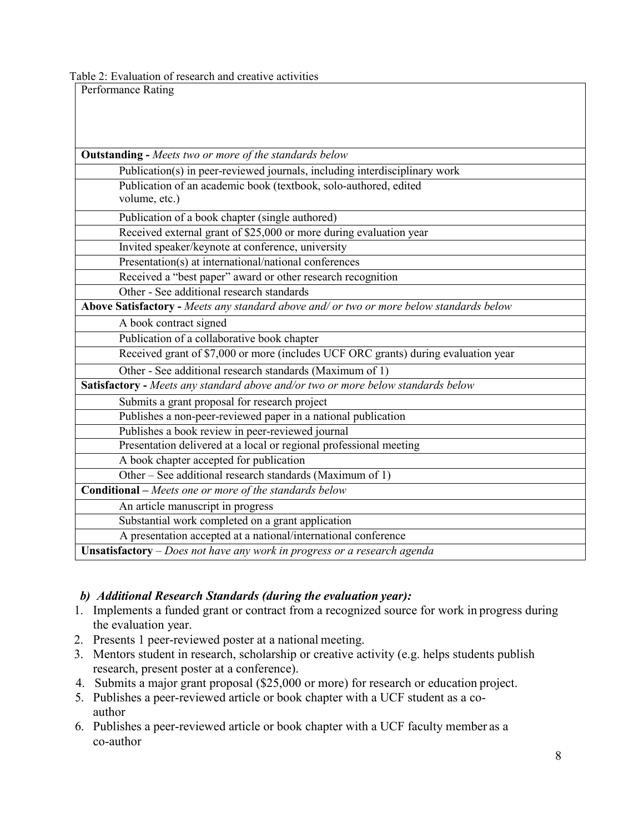Table 2: Evaluation of research and creative activities

| Performance Rating                                                                      |  |  |
|-----------------------------------------------------------------------------------------|--|--|
|                                                                                         |  |  |
|                                                                                         |  |  |
|                                                                                         |  |  |
| <b>Outstanding - Meets two or more of the standards below</b>                           |  |  |
| Publication(s) in peer-reviewed journals, including interdisciplinary work              |  |  |
| Publication of an academic book (textbook, solo-authored, edited                        |  |  |
| volume, etc.)                                                                           |  |  |
| Publication of a book chapter (single authored)                                         |  |  |
| Received external grant of \$25,000 or more during evaluation year                      |  |  |
| Invited speaker/keynote at conference, university                                       |  |  |
| Presentation(s) at international/national conferences                                   |  |  |
| Received a "best paper" award or other research recognition                             |  |  |
| Other - See additional research standards                                               |  |  |
| Above Satisfactory - Meets any standard above and/ or two or more below standards below |  |  |
| A book contract signed                                                                  |  |  |
| Publication of a collaborative book chapter                                             |  |  |
| Received grant of \$7,000 or more (includes UCF ORC grants) during evaluation year      |  |  |
| Other - See additional research standards (Maximum of 1)                                |  |  |
| Satisfactory - Meets any standard above and/or two or more below standards below        |  |  |
| Submits a grant proposal for research project                                           |  |  |
| Publishes a non-peer-reviewed paper in a national publication                           |  |  |
| Publishes a book review in peer-reviewed journal                                        |  |  |
| Presentation delivered at a local or regional professional meeting                      |  |  |
| A book chapter accepted for publication                                                 |  |  |
| Other – See additional research standards (Maximum of 1)                                |  |  |
| <b>Conditional</b> - Meets one or more of the standards below                           |  |  |
| An article manuscript in progress                                                       |  |  |
| Substantial work completed on a grant application                                       |  |  |
| A presentation accepted at a national/international conference                          |  |  |
| Unsatisfactory $-Does$ not have any work in progress or a research agenda               |  |  |

### *b) Additional Research Standards (during the evaluation year):*

- 1. Implements a funded grant or contract from a recognized source for work in progress during the evaluation year.
- 2. Presents 1 peer-reviewed poster at a national meeting.
- 3. Mentors student in research, scholarship or creative activity (e.g. helps students publish research, present poster at a conference).
- 4. Submits a major grant proposal (\$25,000 or more) for research or education project.
- 5. Publishes a peer-reviewed article or book chapter with a UCF student as a coauthor
- 6. Publishes a peer-reviewed article or book chapter with a UCF faculty member as a co-author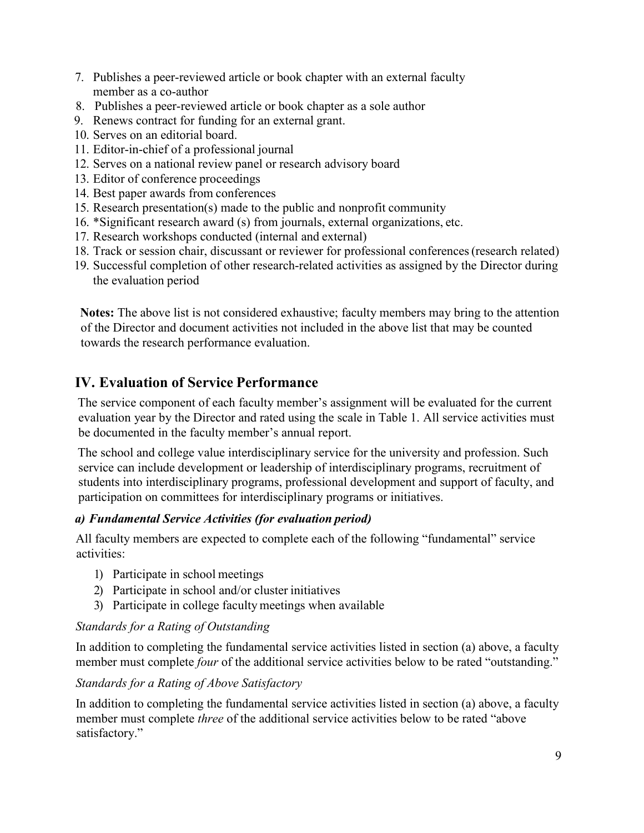- 7. Publishes a peer-reviewed article or book chapter with an external faculty member as a co-author
- 8. Publishes a peer-reviewed article or book chapter as a sole author
- 9. Renews contract for funding for an external grant.
- 10. Serves on an editorial board.
- 11. Editor-in-chief of a professional journal
- 12. Serves on a national review panel or research advisory board
- 13. Editor of conference proceedings
- 14. Best paper awards from conferences
- 15. Research presentation(s) made to the public and nonprofit community
- 16. \*Significant research award (s) from journals, external organizations, etc.
- 17. Research workshops conducted (internal and external)
- 18. Track or session chair, discussant or reviewer for professional conferences(research related)
- 19. Successful completion of other research-related activities as assigned by the Director during the evaluation period

**Notes:** The above list is not considered exhaustive; faculty members may bring to the attention of the Director and document activities not included in the above list that may be counted towards the research performance evaluation.

### **IV. Evaluation of Service Performance**

The service component of each faculty member's assignment will be evaluated for the current evaluation year by the Director and rated using the scale in Table 1. All service activities must be documented in the faculty member's annual report.

The school and college value interdisciplinary service for the university and profession. Such service can include development or leadership of interdisciplinary programs, recruitment of students into interdisciplinary programs, professional development and support of faculty, and participation on committees for interdisciplinary programs or initiatives.

### *a) Fundamental Service Activities (for evaluation period)*

All faculty members are expected to complete each of the following "fundamental" service activities:

- 1) Participate in school meetings
- 2) Participate in school and/or cluster initiatives
- 3) Participate in college faculty meetings when available

### *Standards for a Rating of Outstanding*

In addition to completing the fundamental service activities listed in section (a) above, a faculty member must complete *four* of the additional service activities below to be rated "outstanding."

### *Standards for a Rating of Above Satisfactory*

In addition to completing the fundamental service activities listed in section (a) above, a faculty member must complete *three* of the additional service activities below to be rated "above satisfactory."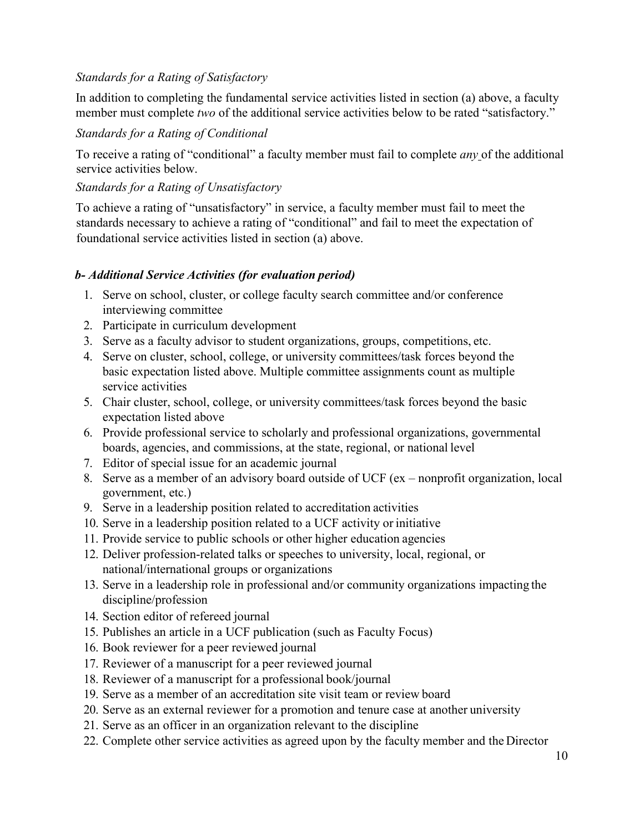### *Standards for a Rating of Satisfactory*

In addition to completing the fundamental service activities listed in section (a) above, a faculty member must complete *two* of the additional service activities below to be rated "satisfactory."

### *Standards for a Rating of Conditional*

To receive a rating of "conditional" a faculty member must fail to complete *any* of the additional service activities below.

### *Standards for a Rating of Unsatisfactory*

To achieve a rating of "unsatisfactory" in service, a faculty member must fail to meet the standards necessary to achieve a rating of "conditional" and fail to meet the expectation of foundational service activities listed in section (a) above.

#### *b- Additional Service Activities (for evaluation period)*

- 1. Serve on school, cluster, or college faculty search committee and/or conference interviewing committee
- 2. Participate in curriculum development
- 3. Serve as a faculty advisor to student organizations, groups, competitions, etc.
- 4. Serve on cluster, school, college, or university committees/task forces beyond the basic expectation listed above. Multiple committee assignments count as multiple service activities
- 5. Chair cluster, school, college, or university committees/task forces beyond the basic expectation listed above
- 6. Provide professional service to scholarly and professional organizations, governmental boards, agencies, and commissions, at the state, regional, or national level
- 7. Editor of special issue for an academic journal
- 8. Serve as a member of an advisory board outside of UCF (ex nonprofit organization, local government, etc.)
- 9. Serve in a leadership position related to accreditation activities
- 10. Serve in a leadership position related to a UCF activity or initiative
- 11. Provide service to public schools or other higher education agencies
- 12. Deliver profession-related talks or speeches to university, local, regional, or national/international groups or organizations
- 13. Serve in a leadership role in professional and/or community organizations impacting the discipline/profession
- 14. Section editor of refereed journal
- 15. Publishes an article in a UCF publication (such as Faculty Focus)
- 16. Book reviewer for a peer reviewed journal
- 17. Reviewer of a manuscript for a peer reviewed journal
- 18. Reviewer of a manuscript for a professional book/journal
- 19. Serve as a member of an accreditation site visit team or review board
- 20. Serve as an external reviewer for a promotion and tenure case at another university
- 21. Serve as an officer in an organization relevant to the discipline
- 22. Complete other service activities as agreed upon by the faculty member and the Director